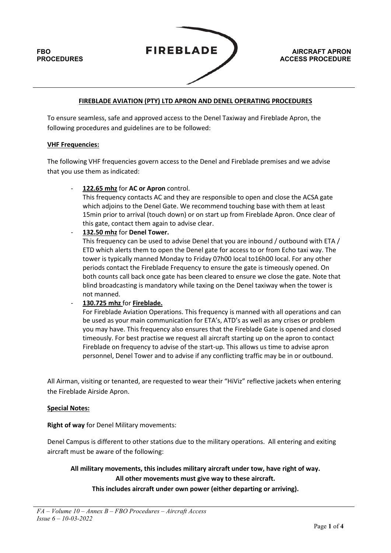

## **FIREBLADE AVIATION (PTY) LTD APRON AND DENEL OPERATING PROCEDURES**

To ensure seamless, safe and approved access to the Denel Taxiway and Fireblade Apron, the following procedures and guidelines are to be followed:

### **VHF Frequencies:**

The following VHF frequencies govern access to the Denel and Fireblade premises and we advise that you use them as indicated:

- **122.65 mhz** for **AC or Apron** control.

This frequency contacts AC and they are responsible to open and close the ACSA gate which adjoins to the Denel Gate. We recommend touching base with them at least 15min prior to arrival (touch down) or on start up from Fireblade Apron. Once clear of this gate, contact them again to advise clear.

- **132.50 mhz** for **Denel Tower.** 

This frequency can be used to advise Denel that you are inbound / outbound with ETA / ETD which alerts them to open the Denel gate for access to or from Echo taxi way. The tower is typically manned Monday to Friday 07h00 local to16h00 local. For any other periods contact the Fireblade Frequency to ensure the gate is timeously opened. On both counts call back once gate has been cleared to ensure we close the gate. Note that blind broadcasting is mandatory while taxing on the Denel taxiway when the tower is not manned.

### - **130.725 mhz** for **Fireblade.**

For Fireblade Aviation Operations. This frequency is manned with all operations and can be used as your main communication for ETA's, ATD's as well as any crises or problem you may have. This frequency also ensures that the Fireblade Gate is opened and closed timeously. For best practise we request all aircraft starting up on the apron to contact Fireblade on frequency to advise of the start-up. This allows us time to advise apron personnel, Denel Tower and to advise if any conflicting traffic may be in or outbound.

All Airman, visiting or tenanted, are requested to wear their "HiViz" reflective jackets when entering the Fireblade Airside Apron.

### **Special Notes:**

**Right of way** for Denel Military movements:

Denel Campus is different to other stations due to the military operations. All entering and exiting aircraft must be aware of the following:

**All military movements, this includes military aircraft under tow, have right of way.** 

**All other movements must give way to these aircraft.** 

**This includes aircraft under own power (either departing or arriving).**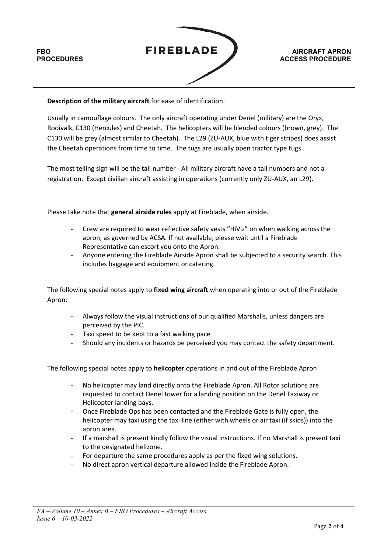

**AIRCRAFT APRON ACCESS PROCEDURE**

## **Description of the military aircraft** for ease of identification:

Usually in camouflage colours. The only aircraft operating under Denel (military) are the Oryx, Rooivalk, C130 (Hercules) and Cheetah. The helicopters will be blended colours (brown, grey). The C130 will be grey (almost similar to Cheetah). The L29 (ZU-AUX, blue with tiger stripes) does assist the Cheetah operations from time to time. The tugs are usually open tractor type tugs.

The most telling sign will be the tail number - All military aircraft have a tail numbers and not a registration. Except civilian aircraft assisting in operations (currently only ZU-AUX, an L29).

Please take note that **general airside rules** apply at Fireblade, when airside.

- Crew are required to wear reflective safety vests "HiViz" on when walking across the apron, as governed by ACSA. If not available, please wait until a Fireblade Representative can escort you onto the Apron.
- Anyone entering the Fireblade Airside Apron shall be subjected to a security search. This includes baggage and equipment or catering.

The following special notes apply to **fixed wing aircraft** when operating into or out of the Fireblade Apron:

- Always follow the visual instructions of our qualified Marshalls, unless dangers are perceived by the PIC.
- Taxi speed to be kept to a fast walking pace
- Should any incidents or hazards be perceived you may contact the safety department.

The following special notes apply to **helicopter** operations in and out of the Fireblade Apron

- No helicopter may land directly onto the Fireblade Apron. All Rotor solutions are requested to contact Denel tower for a landing position on the Denel Taxiway or Helicopter landing bays.
- Once Fireblade Ops has been contacted and the Fireblade Gate is fully open, the helicopter may taxi using the taxi line (either with wheels or air taxi (if skids)) into the apron area.
- If a marshall is present kindly follow the visual instructions. If no Marshall is present taxi to the designated helizone.
- For departure the same procedures apply as per the fixed wing solutions.
- No direct apron vertical departure allowed inside the Fireblade Apron.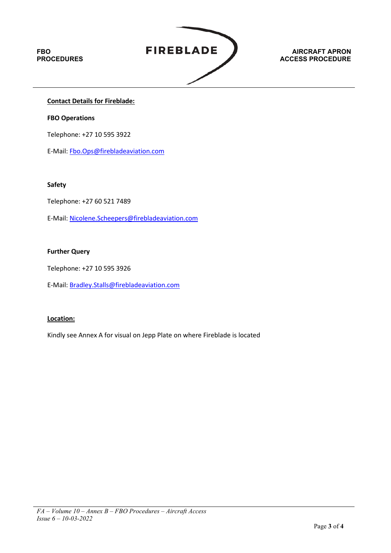# **FBO PROCEDURES**



### **AIRCRAFT APRON ACCESS PROCEDURE**

## **Contact Details for Fireblade:**

### **FBO Operations**

Telephone: +27 10 595 3922

E-Mail: [Fbo.Ops@firebladeaviation.com](mailto:Fbo.Ops@firebladeaviation.com)

#### **Safety**

Telephone: +27 60 521 7489

E-Mail: [Nicolene.Scheepers@firebladeaviation.com](mailto:Nicolene.Scheepers@firebladeaviation.com)

### **Further Query**

Telephone: +27 10 595 3926

E-Mail: [Bradley.Stalls@firebladeaviation.com](mailto:Bradley.Stalls@firebladeaviation.com)

### **Location:**

Kindly see Annex A for visual on Jepp Plate on where Fireblade is located